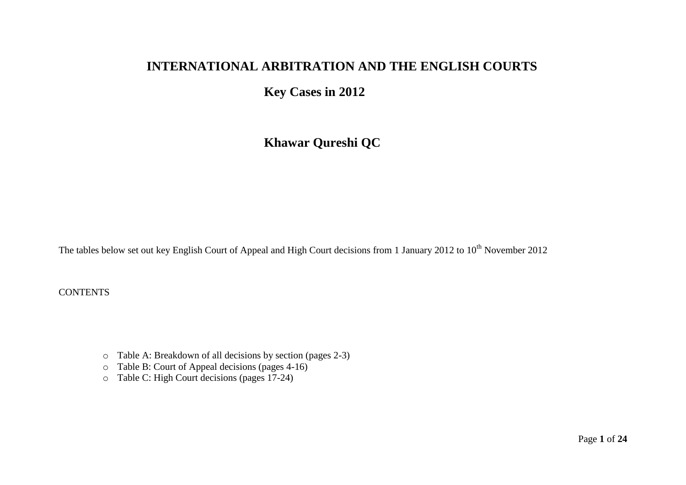# **INTERNATIONAL ARBITRATION AND THE ENGLISH COURTS**

**Key Cases in 2012**

**Khawar Qureshi QC**

The tables below set out key English Court of Appeal and High Court decisions from 1 January 2012 to 10<sup>th</sup> November 2012

**CONTENTS** 

- o Table A: Breakdown of all decisions by section (pages 2-3)
- o Table B: Court of Appeal decisions (pages 4-16)
- o Table C: High Court decisions (pages 17-24)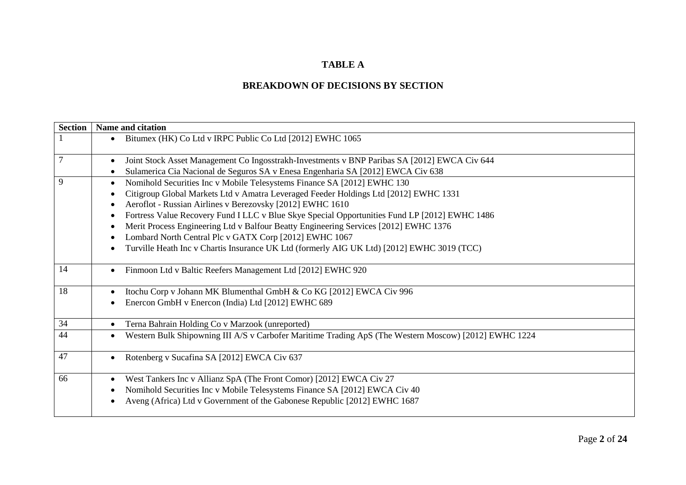#### **TABLE A**

#### **BREAKDOWN OF DECISIONS BY SECTION**

| <b>Section</b> | Name and citation                                                                                     |
|----------------|-------------------------------------------------------------------------------------------------------|
|                | Bitumex (HK) Co Ltd v IRPC Public Co Ltd [2012] EWHC 1065                                             |
| $\overline{7}$ | Joint Stock Asset Management Co Ingosstrakh-Investments v BNP Paribas SA [2012] EWCA Civ 644          |
|                | Sulamerica Cia Nacional de Seguros SA v Enesa Engenharia SA [2012] EWCA Civ 638                       |
| 9              | Nomihold Securities Inc v Mobile Telesystems Finance SA [2012] EWHC 130                               |
|                | Citigroup Global Markets Ltd v Amatra Leveraged Feeder Holdings Ltd [2012] EWHC 1331                  |
|                | Aeroflot - Russian Airlines v Berezovsky [2012] EWHC 1610                                             |
|                | Fortress Value Recovery Fund I LLC v Blue Skye Special Opportunities Fund LP [2012] EWHC 1486         |
|                | Merit Process Engineering Ltd v Balfour Beatty Engineering Services [2012] EWHC 1376                  |
|                | Lombard North Central Plc v GATX Corp [2012] EWHC 1067                                                |
|                | Turville Heath Inc v Chartis Insurance UK Ltd (formerly AIG UK Ltd) [2012] EWHC 3019 (TCC)            |
| 14             | Finmoon Ltd v Baltic Reefers Management Ltd [2012] EWHC 920                                           |
| 18             | Itochu Corp v Johann MK Blumenthal GmbH & Co KG [2012] EWCA Civ 996                                   |
|                | Enercon GmbH v Enercon (India) Ltd [2012] EWHC 689                                                    |
| 34             | Terna Bahrain Holding Co v Marzook (unreported)                                                       |
| 44             | Western Bulk Shipowning III A/S v Carbofer Maritime Trading ApS (The Western Moscow) [2012] EWHC 1224 |
| 47             | Rotenberg v Sucafina SA [2012] EWCA Civ 637                                                           |
| 66             | West Tankers Inc v Allianz SpA (The Front Comor) [2012] EWCA Civ 27                                   |
|                | Nomihold Securities Inc v Mobile Telesystems Finance SA [2012] EWCA Civ 40                            |
|                | Aveng (Africa) Ltd v Government of the Gabonese Republic [2012] EWHC 1687                             |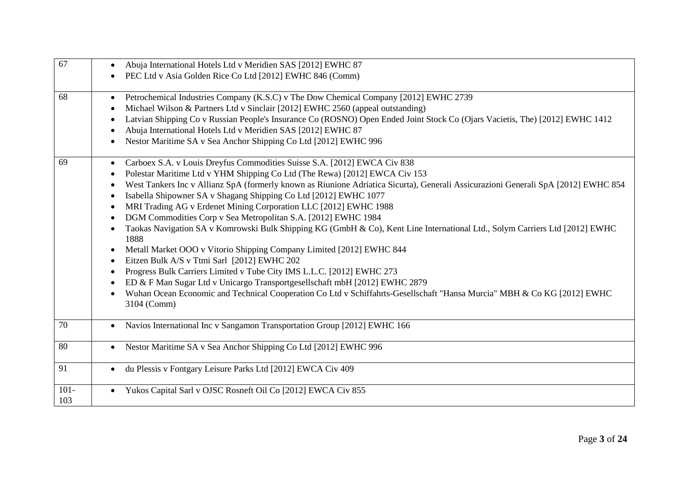| 67             | Abuja International Hotels Ltd v Meridien SAS [2012] EWHC 87<br>$\bullet$                                                                                                                                                                                                                                                                                                                                                                                                                                                                                                                                                                                                                                                                                                                                                                                                                                                                                                                                                                                                                      |
|----------------|------------------------------------------------------------------------------------------------------------------------------------------------------------------------------------------------------------------------------------------------------------------------------------------------------------------------------------------------------------------------------------------------------------------------------------------------------------------------------------------------------------------------------------------------------------------------------------------------------------------------------------------------------------------------------------------------------------------------------------------------------------------------------------------------------------------------------------------------------------------------------------------------------------------------------------------------------------------------------------------------------------------------------------------------------------------------------------------------|
|                | PEC Ltd v Asia Golden Rice Co Ltd [2012] EWHC 846 (Comm)                                                                                                                                                                                                                                                                                                                                                                                                                                                                                                                                                                                                                                                                                                                                                                                                                                                                                                                                                                                                                                       |
| 68             | Petrochemical Industries Company (K.S.C) v The Dow Chemical Company [2012] EWHC 2739<br>Michael Wilson & Partners Ltd v Sinclair [2012] EWHC 2560 (appeal outstanding)<br>$\bullet$<br>Latvian Shipping Co v Russian People's Insurance Co (ROSNO) Open Ended Joint Stock Co (Ojars Vacietis, The) [2012] EWHC 1412<br>Abuja International Hotels Ltd v Meridien SAS [2012] EWHC 87<br>Nestor Maritime SA v Sea Anchor Shipping Co Ltd [2012] EWHC 996                                                                                                                                                                                                                                                                                                                                                                                                                                                                                                                                                                                                                                         |
| 69             | Carboex S.A. v Louis Dreyfus Commodities Suisse S.A. [2012] EWCA Civ 838<br>Polestar Maritime Ltd v YHM Shipping Co Ltd (The Rewa) [2012] EWCA Civ 153<br>$\bullet$<br>West Tankers Inc v Allianz SpA (formerly known as Riunione Adriatica Sicurta), Generali Assicurazioni Generali SpA [2012] EWHC 854<br>Isabella Shipowner SA v Shagang Shipping Co Ltd [2012] EWHC 1077<br>MRI Trading AG v Erdenet Mining Corporation LLC [2012] EWHC 1988<br>$\bullet$<br>DGM Commodities Corp v Sea Metropolitan S.A. [2012] EWHC 1984<br>Taokas Navigation SA v Komrowski Bulk Shipping KG (GmbH & Co), Kent Line International Ltd., Solym Carriers Ltd [2012] EWHC<br>1888<br>Metall Market OOO v Vitorio Shipping Company Limited [2012] EWHC 844<br>Eitzen Bulk A/S v Ttmi Sarl [2012] EWHC 202<br>Progress Bulk Carriers Limited v Tube City IMS L.L.C. [2012] EWHC 273<br>ED & F Man Sugar Ltd v Unicargo Transportgesellschaft mbH [2012] EWHC 2879<br>Wuhan Ocean Economic and Technical Cooperation Co Ltd v Schiffahrts-Gesellschaft "Hansa Murcia" MBH & Co KG [2012] EWHC<br>3104 (Comm) |
| 70             | Navios International Inc v Sangamon Transportation Group [2012] EWHC 166<br>$\bullet$                                                                                                                                                                                                                                                                                                                                                                                                                                                                                                                                                                                                                                                                                                                                                                                                                                                                                                                                                                                                          |
| 80             | Nestor Maritime SA v Sea Anchor Shipping Co Ltd [2012] EWHC 996                                                                                                                                                                                                                                                                                                                                                                                                                                                                                                                                                                                                                                                                                                                                                                                                                                                                                                                                                                                                                                |
| 91             | du Plessis v Fontgary Leisure Parks Ltd [2012] EWCA Civ 409<br>$\bullet$                                                                                                                                                                                                                                                                                                                                                                                                                                                                                                                                                                                                                                                                                                                                                                                                                                                                                                                                                                                                                       |
| $101 -$<br>103 | Yukos Capital Sarl v OJSC Rosneft Oil Co [2012] EWCA Civ 855                                                                                                                                                                                                                                                                                                                                                                                                                                                                                                                                                                                                                                                                                                                                                                                                                                                                                                                                                                                                                                   |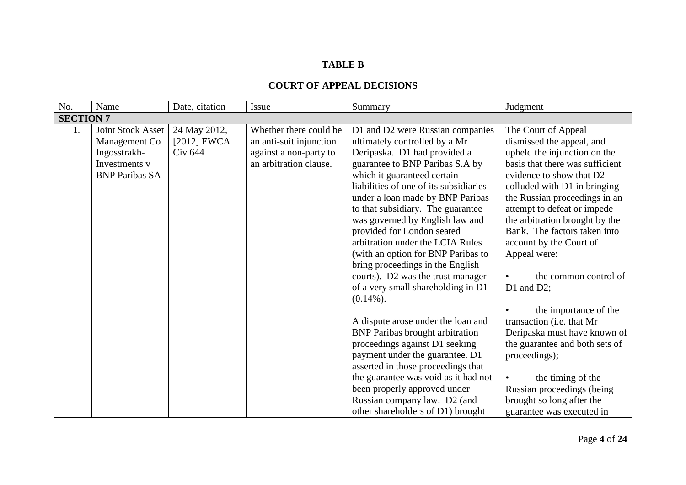### **TABLE B**

| No.              | Name                                                                                         | Date, citation                                  | <b>Issue</b>                                                                                          | Summary                                                                                                                                                                                                                                                                                                                                                                                                                                                                                                                                                          | Judgment                                                                                                                                                                                                                                                                                                                                                                                                                     |  |
|------------------|----------------------------------------------------------------------------------------------|-------------------------------------------------|-------------------------------------------------------------------------------------------------------|------------------------------------------------------------------------------------------------------------------------------------------------------------------------------------------------------------------------------------------------------------------------------------------------------------------------------------------------------------------------------------------------------------------------------------------------------------------------------------------------------------------------------------------------------------------|------------------------------------------------------------------------------------------------------------------------------------------------------------------------------------------------------------------------------------------------------------------------------------------------------------------------------------------------------------------------------------------------------------------------------|--|
| <b>SECTION 7</b> |                                                                                              |                                                 |                                                                                                       |                                                                                                                                                                                                                                                                                                                                                                                                                                                                                                                                                                  |                                                                                                                                                                                                                                                                                                                                                                                                                              |  |
| 1.               | Joint Stock Asset<br>Management Co<br>Ingosstrakh-<br>Investments v<br><b>BNP Paribas SA</b> | 24 May 2012,<br>$[2012]$ EWCA<br><b>Civ 644</b> | Whether there could be<br>an anti-suit injunction<br>against a non-party to<br>an arbitration clause. | D1 and D2 were Russian companies<br>ultimately controlled by a Mr<br>Deripaska. D1 had provided a<br>guarantee to BNP Paribas S.A by<br>which it guaranteed certain<br>liabilities of one of its subsidiaries<br>under a loan made by BNP Paribas<br>to that subsidiary. The guarantee<br>was governed by English law and<br>provided for London seated<br>arbitration under the LCIA Rules<br>(with an option for BNP Paribas to<br>bring proceedings in the English<br>courts). D2 was the trust manager<br>of a very small shareholding in D1<br>$(0.14\%)$ . | The Court of Appeal<br>dismissed the appeal, and<br>upheld the injunction on the<br>basis that there was sufficient<br>evidence to show that D2<br>colluded with D1 in bringing<br>the Russian proceedings in an<br>attempt to defeat or impede<br>the arbitration brought by the<br>Bank. The factors taken into<br>account by the Court of<br>Appeal were:<br>the common control of<br>D1 and D2;<br>the importance of the |  |
|                  |                                                                                              |                                                 |                                                                                                       | A dispute arose under the loan and<br><b>BNP</b> Paribas brought arbitration<br>proceedings against D1 seeking<br>payment under the guarantee. D1<br>asserted in those proceedings that<br>the guarantee was void as it had not<br>been properly approved under<br>Russian company law. D2 (and<br>other shareholders of D1) brought                                                                                                                                                                                                                             | transaction (i.e. that Mr<br>Deripaska must have known of<br>the guarantee and both sets of<br>proceedings);<br>the timing of the<br>Russian proceedings (being<br>brought so long after the<br>guarantee was executed in                                                                                                                                                                                                    |  |

## **COURT OF APPEAL DECISIONS**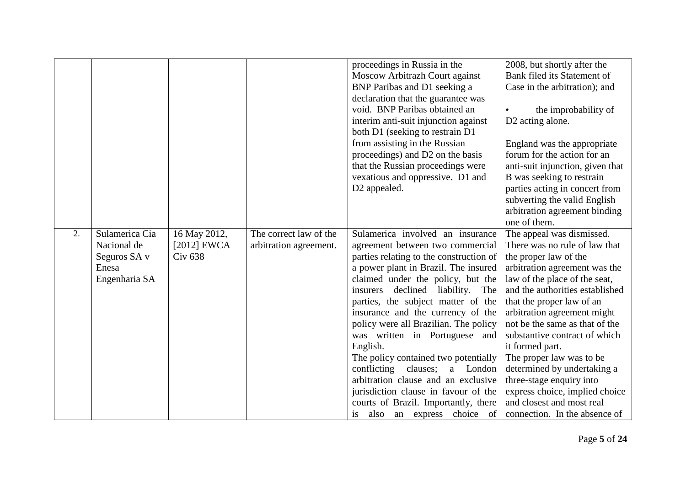|    |                                                                         |                                                 |                                                  | proceedings in Russia in the<br>Moscow Arbitrazh Court against<br>BNP Paribas and D1 seeking a<br>declaration that the guarantee was<br>void. BNP Paribas obtained an<br>interim anti-suit injunction against<br>both D1 (seeking to restrain D1<br>from assisting in the Russian<br>proceedings) and D2 on the basis<br>that the Russian proceedings were<br>vexatious and oppressive. D1 and                                                                                                                                                                                                                                          | 2008, but shortly after the<br>Bank filed its Statement of<br>Case in the arbitration); and<br>the improbability of<br>D2 acting alone.<br>England was the appropriate<br>forum for the action for an<br>anti-suit injunction, given that<br>B was seeking to restrain                                                                                                                                                                                                                                                            |
|----|-------------------------------------------------------------------------|-------------------------------------------------|--------------------------------------------------|-----------------------------------------------------------------------------------------------------------------------------------------------------------------------------------------------------------------------------------------------------------------------------------------------------------------------------------------------------------------------------------------------------------------------------------------------------------------------------------------------------------------------------------------------------------------------------------------------------------------------------------------|-----------------------------------------------------------------------------------------------------------------------------------------------------------------------------------------------------------------------------------------------------------------------------------------------------------------------------------------------------------------------------------------------------------------------------------------------------------------------------------------------------------------------------------|
|    |                                                                         |                                                 |                                                  | D2 appealed.                                                                                                                                                                                                                                                                                                                                                                                                                                                                                                                                                                                                                            | parties acting in concert from<br>subverting the valid English<br>arbitration agreement binding<br>one of them.                                                                                                                                                                                                                                                                                                                                                                                                                   |
| 2. | Sulamerica Cia<br>Nacional de<br>Seguros SA v<br>Enesa<br>Engenharia SA | 16 May 2012,<br>[2012] $EWCA$<br><b>Civ 638</b> | The correct law of the<br>arbitration agreement. | Sulamerica involved an insurance<br>agreement between two commercial<br>parties relating to the construction of<br>a power plant in Brazil. The insured<br>claimed under the policy, but the<br>declined liability. The<br>insurers<br>parties, the subject matter of the<br>insurance and the currency of the<br>policy were all Brazilian. The policy<br>was written in Portuguese and<br>English.<br>The policy contained two potentially<br>conflicting clauses;<br>a London<br>arbitration clause and an exclusive<br>jurisdiction clause in favour of the<br>courts of Brazil. Importantly, there<br>is also an express choice of | The appeal was dismissed.<br>There was no rule of law that<br>the proper law of the<br>arbitration agreement was the<br>law of the place of the seat,<br>and the authorities established<br>that the proper law of an<br>arbitration agreement might<br>not be the same as that of the<br>substantive contract of which<br>it formed part.<br>The proper law was to be<br>determined by undertaking a<br>three-stage enquiry into<br>express choice, implied choice<br>and closest and most real<br>connection. In the absence of |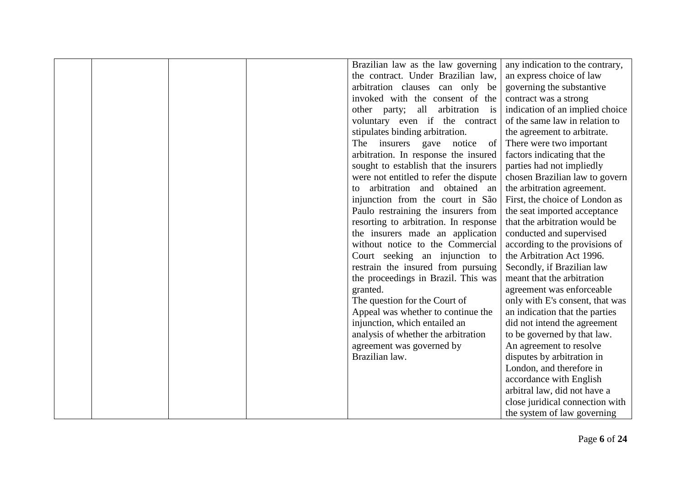|  | Brazilian law as the law governing     | any indication to the contrary, |
|--|----------------------------------------|---------------------------------|
|  | the contract. Under Brazilian law,     | an express choice of law        |
|  | arbitration clauses can only be        | governing the substantive       |
|  | invoked with the consent of the        | contract was a strong           |
|  | other party; all arbitration is        | indication of an implied choice |
|  | voluntary even if the contract         | of the same law in relation to  |
|  | stipulates binding arbitration.        | the agreement to arbitrate.     |
|  | The insurers gave notice<br>of         | There were two important        |
|  | arbitration. In response the insured   | factors indicating that the     |
|  | sought to establish that the insurers  | parties had not impliedly       |
|  | were not entitled to refer the dispute | chosen Brazilian law to govern  |
|  | arbitration and obtained an<br>to      | the arbitration agreement.      |
|  | injunction from the court in São       | First, the choice of London as  |
|  | Paulo restraining the insurers from    | the seat imported acceptance    |
|  | resorting to arbitration. In response  | that the arbitration would be   |
|  | the insurers made an application       | conducted and supervised        |
|  | without notice to the Commercial       | according to the provisions of  |
|  | Court seeking an injunction to         | the Arbitration Act 1996.       |
|  | restrain the insured from pursuing     | Secondly, if Brazilian law      |
|  | the proceedings in Brazil. This was    | meant that the arbitration      |
|  | granted.                               | agreement was enforceable       |
|  | The question for the Court of          | only with E's consent, that was |
|  | Appeal was whether to continue the     | an indication that the parties  |
|  | injunction, which entailed an          | did not intend the agreement    |
|  | analysis of whether the arbitration    | to be governed by that law.     |
|  | agreement was governed by              | An agreement to resolve         |
|  | Brazilian law.                         | disputes by arbitration in      |
|  |                                        | London, and therefore in        |
|  |                                        | accordance with English         |
|  |                                        | arbitral law, did not have a    |
|  |                                        | close juridical connection with |
|  |                                        | the system of law governing     |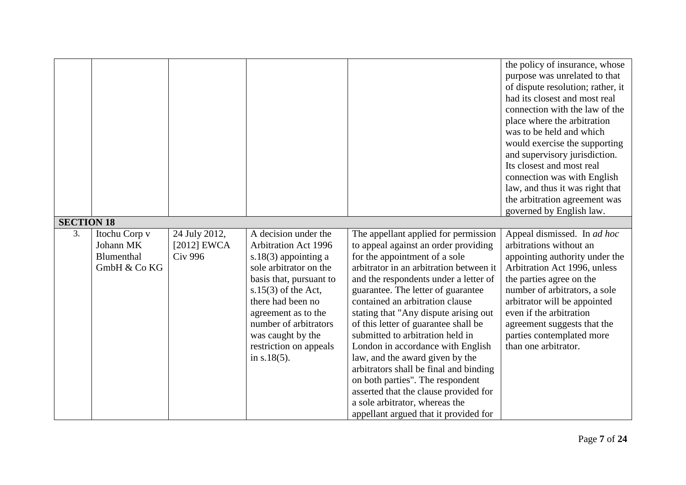|                   |               |                |                             |                                         | the policy of insurance, whose<br>purpose was unrelated to that<br>of dispute resolution; rather, it<br>had its closest and most real |
|-------------------|---------------|----------------|-----------------------------|-----------------------------------------|---------------------------------------------------------------------------------------------------------------------------------------|
|                   |               |                |                             |                                         | connection with the law of the                                                                                                        |
|                   |               |                |                             |                                         | place where the arbitration                                                                                                           |
|                   |               |                |                             |                                         | was to be held and which                                                                                                              |
|                   |               |                |                             |                                         | would exercise the supporting                                                                                                         |
|                   |               |                |                             |                                         | and supervisory jurisdiction.                                                                                                         |
|                   |               |                |                             |                                         | Its closest and most real                                                                                                             |
|                   |               |                |                             |                                         | connection was with English                                                                                                           |
|                   |               |                |                             |                                         | law, and thus it was right that                                                                                                       |
|                   |               |                |                             |                                         | the arbitration agreement was                                                                                                         |
|                   |               |                |                             |                                         | governed by English law.                                                                                                              |
| <b>SECTION 18</b> |               |                |                             |                                         |                                                                                                                                       |
| 3.                | Itochu Corp v | 24 July 2012,  | A decision under the        | The appellant applied for permission    | Appeal dismissed. In ad hoc                                                                                                           |
|                   | Johann MK     | [2012] $EWCA$  | <b>Arbitration Act 1996</b> | to appeal against an order providing    | arbitrations without an                                                                                                               |
|                   | Blumenthal    | <b>Civ 996</b> | s.18 $(3)$ appointing a     | for the appointment of a sole           | appointing authority under the                                                                                                        |
|                   | GmbH & Co KG  |                | sole arbitrator on the      | arbitrator in an arbitration between it | Arbitration Act 1996, unless                                                                                                          |
|                   |               |                | basis that, pursuant to     | and the respondents under a letter of   | the parties agree on the                                                                                                              |
|                   |               |                | s.15 $(3)$ of the Act,      | guarantee. The letter of guarantee      | number of arbitrators, a sole                                                                                                         |
|                   |               |                | there had been no           | contained an arbitration clause         | arbitrator will be appointed                                                                                                          |
|                   |               |                | agreement as to the         | stating that "Any dispute arising out   | even if the arbitration                                                                                                               |
|                   |               |                | number of arbitrators       | of this letter of guarantee shall be    | agreement suggests that the                                                                                                           |
|                   |               |                | was caught by the           | submitted to arbitration held in        | parties contemplated more                                                                                                             |
|                   |               |                | restriction on appeals      | London in accordance with English       | than one arbitrator.                                                                                                                  |
|                   |               |                | in $s.18(5)$ .              | law, and the award given by the         |                                                                                                                                       |
|                   |               |                |                             | arbitrators shall be final and binding  |                                                                                                                                       |
|                   |               |                |                             | on both parties". The respondent        |                                                                                                                                       |
|                   |               |                |                             | asserted that the clause provided for   |                                                                                                                                       |
|                   |               |                |                             | a sole arbitrator, whereas the          |                                                                                                                                       |
|                   |               |                |                             | appellant argued that it provided for   |                                                                                                                                       |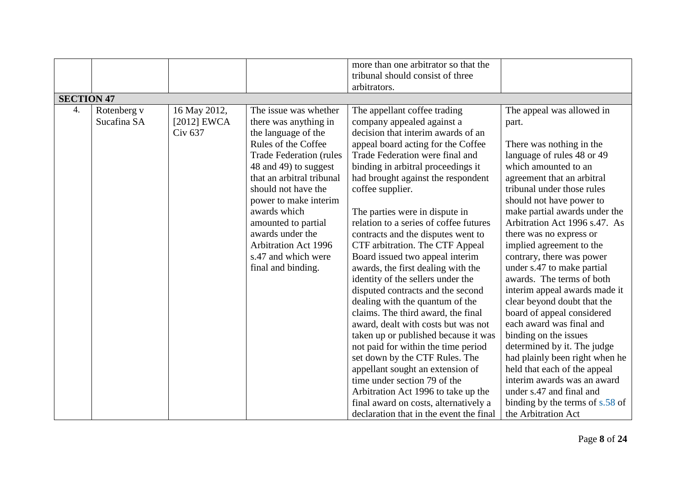|                   |             |                    |                                 | more than one arbitrator so that the    |                                 |
|-------------------|-------------|--------------------|---------------------------------|-----------------------------------------|---------------------------------|
|                   |             |                    |                                 | tribunal should consist of three        |                                 |
|                   |             |                    |                                 | arbitrators.                            |                                 |
| <b>SECTION 47</b> |             |                    |                                 |                                         |                                 |
| 4.                | Rotenberg v | 16 May 2012,       | The issue was whether           | The appellant coffee trading            | The appeal was allowed in       |
|                   | Sucafina SA | $[2012]$ EWCA      | there was anything in           | company appealed against a              | part.                           |
|                   |             | Civ <sub>637</sub> | the language of the             | decision that interim awards of an      |                                 |
|                   |             |                    | Rules of the Coffee             | appeal board acting for the Coffee      | There was nothing in the        |
|                   |             |                    | <b>Trade Federation (rules)</b> | Trade Federation were final and         | language of rules 48 or 49      |
|                   |             |                    | 48 and 49) to suggest           | binding in arbitral proceedings it      | which amounted to an            |
|                   |             |                    | that an arbitral tribunal       | had brought against the respondent      | agreement that an arbitral      |
|                   |             |                    | should not have the             | coffee supplier.                        | tribunal under those rules      |
|                   |             |                    | power to make interim           |                                         | should not have power to        |
|                   |             |                    | awards which                    | The parties were in dispute in          | make partial awards under the   |
|                   |             |                    | amounted to partial             | relation to a series of coffee futures  | Arbitration Act 1996 s.47. As   |
|                   |             |                    | awards under the                | contracts and the disputes went to      | there was no express or         |
|                   |             |                    | <b>Arbitration Act 1996</b>     | CTF arbitration. The CTF Appeal         | implied agreement to the        |
|                   |             |                    | s.47 and which were             | Board issued two appeal interim         | contrary, there was power       |
|                   |             |                    | final and binding.              | awards, the first dealing with the      | under s.47 to make partial      |
|                   |             |                    |                                 | identity of the sellers under the       | awards. The terms of both       |
|                   |             |                    |                                 | disputed contracts and the second       | interim appeal awards made it   |
|                   |             |                    |                                 | dealing with the quantum of the         | clear beyond doubt that the     |
|                   |             |                    |                                 | claims. The third award, the final      | board of appeal considered      |
|                   |             |                    |                                 | award, dealt with costs but was not     | each award was final and        |
|                   |             |                    |                                 | taken up or published because it was    | binding on the issues           |
|                   |             |                    |                                 | not paid for within the time period     | determined by it. The judge     |
|                   |             |                    |                                 | set down by the CTF Rules. The          | had plainly been right when he  |
|                   |             |                    |                                 | appellant sought an extension of        | held that each of the appeal    |
|                   |             |                    |                                 | time under section 79 of the            | interim awards was an award     |
|                   |             |                    |                                 | Arbitration Act 1996 to take up the     | under s.47 and final and        |
|                   |             |                    |                                 | final award on costs, alternatively a   | binding by the terms of s.58 of |
|                   |             |                    |                                 | declaration that in the event the final | the Arbitration Act             |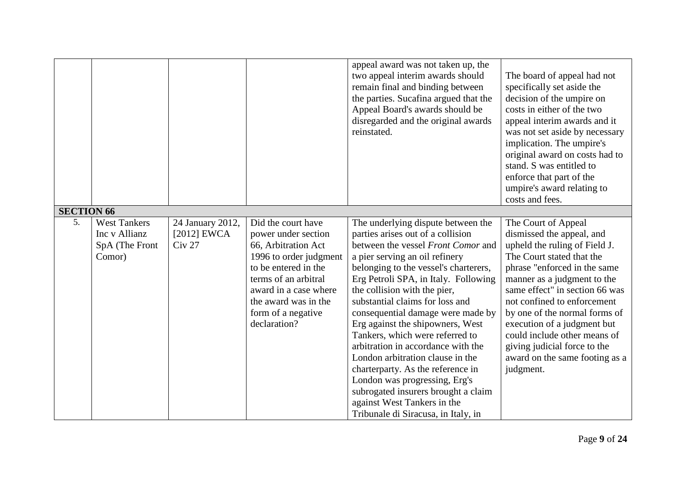|                   |                                                                  |                                                        |                                                                                                                                                                                                                                   | appeal award was not taken up, the<br>two appeal interim awards should<br>remain final and binding between<br>the parties. Sucafina argued that the<br>Appeal Board's awards should be<br>disregarded and the original awards<br>reinstated.                                                                                                                                                                                                                                                                                                                                                                                                                                 | The board of appeal had not<br>specifically set aside the<br>decision of the umpire on<br>costs in either of the two<br>appeal interim awards and it<br>was not set aside by necessary<br>implication. The umpire's<br>original award on costs had to<br>stand. S was entitled to<br>enforce that part of the<br>umpire's award relating to<br>costs and fees.                                                                |
|-------------------|------------------------------------------------------------------|--------------------------------------------------------|-----------------------------------------------------------------------------------------------------------------------------------------------------------------------------------------------------------------------------------|------------------------------------------------------------------------------------------------------------------------------------------------------------------------------------------------------------------------------------------------------------------------------------------------------------------------------------------------------------------------------------------------------------------------------------------------------------------------------------------------------------------------------------------------------------------------------------------------------------------------------------------------------------------------------|-------------------------------------------------------------------------------------------------------------------------------------------------------------------------------------------------------------------------------------------------------------------------------------------------------------------------------------------------------------------------------------------------------------------------------|
| <b>SECTION 66</b> |                                                                  |                                                        |                                                                                                                                                                                                                                   |                                                                                                                                                                                                                                                                                                                                                                                                                                                                                                                                                                                                                                                                              |                                                                                                                                                                                                                                                                                                                                                                                                                               |
| 5.                | <b>West Tankers</b><br>Inc v Allianz<br>SpA (The Front<br>Comor) | 24 January 2012,<br>$[2012]$ EWCA<br>Civ <sub>27</sub> | Did the court have<br>power under section<br>66, Arbitration Act<br>1996 to order judgment<br>to be entered in the<br>terms of an arbitral<br>award in a case where<br>the award was in the<br>form of a negative<br>declaration? | The underlying dispute between the<br>parties arises out of a collision<br>between the vessel Front Comor and<br>a pier serving an oil refinery<br>belonging to the vessel's charterers,<br>Erg Petroli SPA, in Italy. Following<br>the collision with the pier,<br>substantial claims for loss and<br>consequential damage were made by<br>Erg against the shipowners, West<br>Tankers, which were referred to<br>arbitration in accordance with the<br>London arbitration clause in the<br>charterparty. As the reference in<br>London was progressing, Erg's<br>subrogated insurers brought a claim<br>against West Tankers in the<br>Tribunale di Siracusa, in Italy, in | The Court of Appeal<br>dismissed the appeal, and<br>upheld the ruling of Field J.<br>The Court stated that the<br>phrase "enforced in the same<br>manner as a judgment to the<br>same effect" in section 66 was<br>not confined to enforcement<br>by one of the normal forms of<br>execution of a judgment but<br>could include other means of<br>giving judicial force to the<br>award on the same footing as a<br>judgment. |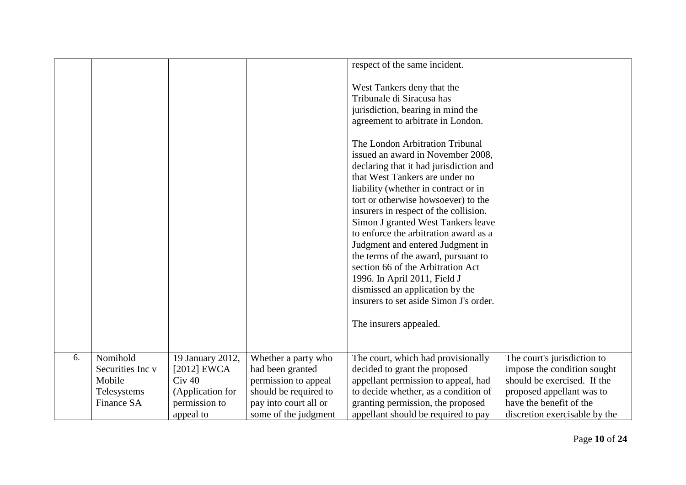|    |                   |                  |                       | respect of the same incident.                                                                                                                                                                                                                                                                                                                                                                                                                                                                                                                                                                                  |                               |
|----|-------------------|------------------|-----------------------|----------------------------------------------------------------------------------------------------------------------------------------------------------------------------------------------------------------------------------------------------------------------------------------------------------------------------------------------------------------------------------------------------------------------------------------------------------------------------------------------------------------------------------------------------------------------------------------------------------------|-------------------------------|
|    |                   |                  |                       | West Tankers deny that the<br>Tribunale di Siracusa has<br>jurisdiction, bearing in mind the<br>agreement to arbitrate in London.                                                                                                                                                                                                                                                                                                                                                                                                                                                                              |                               |
|    |                   |                  |                       | The London Arbitration Tribunal<br>issued an award in November 2008,<br>declaring that it had jurisdiction and<br>that West Tankers are under no<br>liability (whether in contract or in<br>tort or otherwise howsoever) to the<br>insurers in respect of the collision.<br>Simon J granted West Tankers leave<br>to enforce the arbitration award as a<br>Judgment and entered Judgment in<br>the terms of the award, pursuant to<br>section 66 of the Arbitration Act<br>1996. In April 2011, Field J<br>dismissed an application by the<br>insurers to set aside Simon J's order.<br>The insurers appealed. |                               |
| 6. | Nomihold          | 19 January 2012, | Whether a party who   | The court, which had provisionally                                                                                                                                                                                                                                                                                                                                                                                                                                                                                                                                                                             | The court's jurisdiction to   |
|    | Securities Inc v  | $[2012]$ EWCA    | had been granted      | decided to grant the proposed                                                                                                                                                                                                                                                                                                                                                                                                                                                                                                                                                                                  | impose the condition sought   |
|    | Mobile            | $Civ$ 40         | permission to appeal  | appellant permission to appeal, had                                                                                                                                                                                                                                                                                                                                                                                                                                                                                                                                                                            | should be exercised. If the   |
|    | Telesystems       | (Application for | should be required to | to decide whether, as a condition of                                                                                                                                                                                                                                                                                                                                                                                                                                                                                                                                                                           | proposed appellant was to     |
|    | <b>Finance SA</b> | permission to    | pay into court all or | granting permission, the proposed                                                                                                                                                                                                                                                                                                                                                                                                                                                                                                                                                                              | have the benefit of the       |
|    |                   | appeal to        | some of the judgment  | appellant should be required to pay                                                                                                                                                                                                                                                                                                                                                                                                                                                                                                                                                                            | discretion exercisable by the |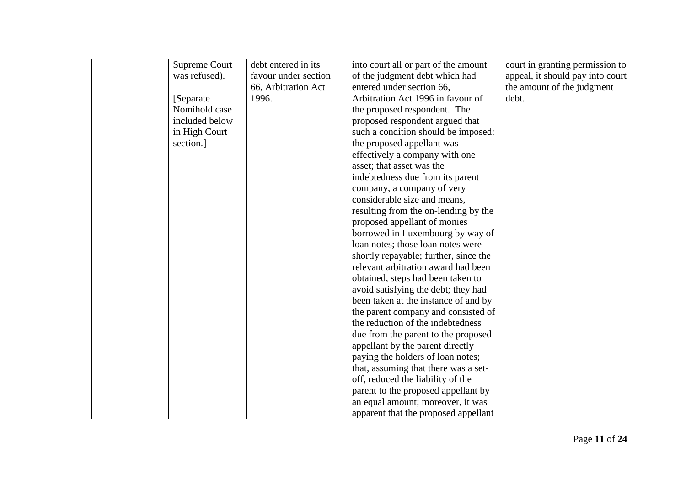|  | Supreme Court  | debt entered in its  | into court all or part of the amount  | court in granting permission to  |
|--|----------------|----------------------|---------------------------------------|----------------------------------|
|  | was refused).  | favour under section | of the judgment debt which had        | appeal, it should pay into court |
|  |                | 66, Arbitration Act  | entered under section 66,             | the amount of the judgment       |
|  | [Separate]     | 1996.                | Arbitration Act 1996 in favour of     | debt.                            |
|  | Nomihold case  |                      | the proposed respondent. The          |                                  |
|  | included below |                      | proposed respondent argued that       |                                  |
|  | in High Court  |                      | such a condition should be imposed:   |                                  |
|  | section.]      |                      | the proposed appellant was            |                                  |
|  |                |                      | effectively a company with one        |                                  |
|  |                |                      | asset; that asset was the             |                                  |
|  |                |                      | indebtedness due from its parent      |                                  |
|  |                |                      | company, a company of very            |                                  |
|  |                |                      | considerable size and means,          |                                  |
|  |                |                      | resulting from the on-lending by the  |                                  |
|  |                |                      | proposed appellant of monies          |                                  |
|  |                |                      | borrowed in Luxembourg by way of      |                                  |
|  |                |                      | loan notes; those loan notes were     |                                  |
|  |                |                      | shortly repayable; further, since the |                                  |
|  |                |                      | relevant arbitration award had been   |                                  |
|  |                |                      | obtained, steps had been taken to     |                                  |
|  |                |                      | avoid satisfying the debt; they had   |                                  |
|  |                |                      | been taken at the instance of and by  |                                  |
|  |                |                      | the parent company and consisted of   |                                  |
|  |                |                      | the reduction of the indebtedness     |                                  |
|  |                |                      | due from the parent to the proposed   |                                  |
|  |                |                      | appellant by the parent directly      |                                  |
|  |                |                      | paying the holders of loan notes;     |                                  |
|  |                |                      | that, assuming that there was a set-  |                                  |
|  |                |                      | off, reduced the liability of the     |                                  |
|  |                |                      | parent to the proposed appellant by   |                                  |
|  |                |                      | an equal amount; moreover, it was     |                                  |
|  |                |                      | apparent that the proposed appellant  |                                  |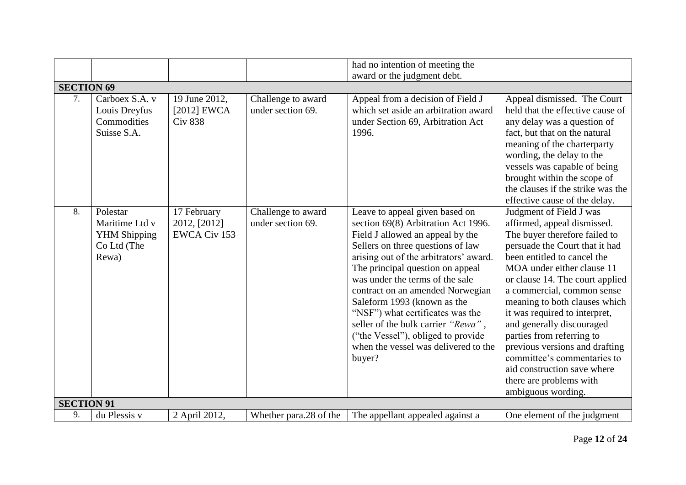|                   |                                                                           |                                                    |                                         | had no intention of meeting the                                                                                                                                                                                                                                                                                                                                                                                                                                                                      |                                                                                                                                                                                                                                                                                                                                                                                                                                                                                                                                      |
|-------------------|---------------------------------------------------------------------------|----------------------------------------------------|-----------------------------------------|------------------------------------------------------------------------------------------------------------------------------------------------------------------------------------------------------------------------------------------------------------------------------------------------------------------------------------------------------------------------------------------------------------------------------------------------------------------------------------------------------|--------------------------------------------------------------------------------------------------------------------------------------------------------------------------------------------------------------------------------------------------------------------------------------------------------------------------------------------------------------------------------------------------------------------------------------------------------------------------------------------------------------------------------------|
|                   |                                                                           |                                                    |                                         | award or the judgment debt.                                                                                                                                                                                                                                                                                                                                                                                                                                                                          |                                                                                                                                                                                                                                                                                                                                                                                                                                                                                                                                      |
| <b>SECTION 69</b> |                                                                           |                                                    |                                         |                                                                                                                                                                                                                                                                                                                                                                                                                                                                                                      |                                                                                                                                                                                                                                                                                                                                                                                                                                                                                                                                      |
| 7.                | Carboex S.A. v<br>Louis Dreyfus<br>Commodities<br>Suisse S.A.             | 19 June 2012,<br>[2012] $EWCA$<br><b>Civ 838</b>   | Challenge to award<br>under section 69. | Appeal from a decision of Field J<br>which set aside an arbitration award<br>under Section 69, Arbitration Act<br>1996.                                                                                                                                                                                                                                                                                                                                                                              | Appeal dismissed. The Court<br>held that the effective cause of<br>any delay was a question of<br>fact, but that on the natural<br>meaning of the charterparty<br>wording, the delay to the<br>vessels was capable of being<br>brought within the scope of<br>the clauses if the strike was the<br>effective cause of the delay.                                                                                                                                                                                                     |
| 8.                | Polestar<br>Maritime Ltd v<br><b>YHM Shipping</b><br>Co Ltd (The<br>Rewa) | 17 February<br>2012, [2012]<br><b>EWCA Civ 153</b> | Challenge to award<br>under section 69. | Leave to appeal given based on<br>section 69(8) Arbitration Act 1996.<br>Field J allowed an appeal by the<br>Sellers on three questions of law<br>arising out of the arbitrators' award.<br>The principal question on appeal<br>was under the terms of the sale<br>contract on an amended Norwegian<br>Saleform 1993 (known as the<br>"NSF") what certificates was the<br>seller of the bulk carrier "Rewa",<br>("the Vessel"), obliged to provide<br>when the vessel was delivered to the<br>buyer? | Judgment of Field J was<br>affirmed, appeal dismissed.<br>The buyer therefore failed to<br>persuade the Court that it had<br>been entitled to cancel the<br>MOA under either clause 11<br>or clause 14. The court applied<br>a commercial, common sense<br>meaning to both clauses which<br>it was required to interpret,<br>and generally discouraged<br>parties from referring to<br>previous versions and drafting<br>committee's commentaries to<br>aid construction save where<br>there are problems with<br>ambiguous wording. |
| <b>SECTION 91</b> |                                                                           |                                                    |                                         |                                                                                                                                                                                                                                                                                                                                                                                                                                                                                                      |                                                                                                                                                                                                                                                                                                                                                                                                                                                                                                                                      |
| 9.                | du Plessis v                                                              | 2 April 2012,                                      | Whether para.28 of the                  | The appellant appealed against a                                                                                                                                                                                                                                                                                                                                                                                                                                                                     | One element of the judgment                                                                                                                                                                                                                                                                                                                                                                                                                                                                                                          |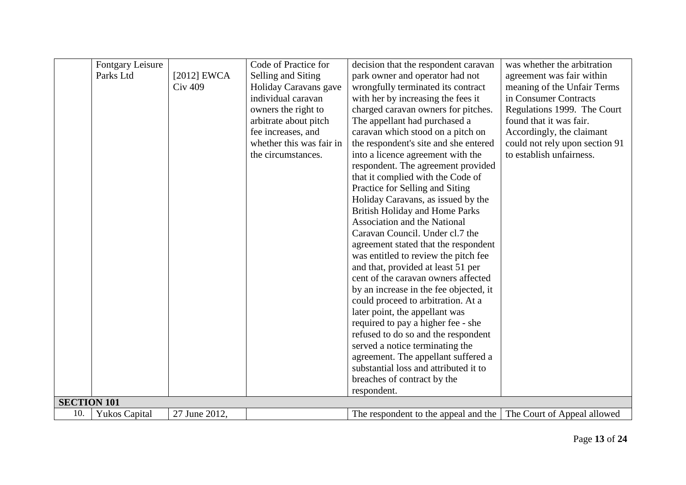|                    | Fontgary Leisure     |                | Code of Practice for     | decision that the respondent caravan                             | was whether the arbitration    |
|--------------------|----------------------|----------------|--------------------------|------------------------------------------------------------------|--------------------------------|
|                    | Parks Ltd            | $[2012]$ EWCA  | Selling and Siting       | park owner and operator had not                                  | agreement was fair within      |
|                    |                      | <b>Civ 409</b> | Holiday Caravans gave    | wrongfully terminated its contract                               | meaning of the Unfair Terms    |
|                    |                      |                | individual caravan       | with her by increasing the fees it                               | in Consumer Contracts          |
|                    |                      |                | owners the right to      | charged caravan owners for pitches.                              | Regulations 1999. The Court    |
|                    |                      |                | arbitrate about pitch    | The appellant had purchased a                                    | found that it was fair.        |
|                    |                      |                | fee increases, and       | caravan which stood on a pitch on                                | Accordingly, the claimant      |
|                    |                      |                | whether this was fair in | the respondent's site and she entered                            | could not rely upon section 91 |
|                    |                      |                | the circumstances.       | into a licence agreement with the                                | to establish unfairness.       |
|                    |                      |                |                          | respondent. The agreement provided                               |                                |
|                    |                      |                |                          | that it complied with the Code of                                |                                |
|                    |                      |                |                          | Practice for Selling and Siting                                  |                                |
|                    |                      |                |                          | Holiday Caravans, as issued by the                               |                                |
|                    |                      |                |                          | <b>British Holiday and Home Parks</b>                            |                                |
|                    |                      |                |                          | <b>Association and the National</b>                              |                                |
|                    |                      |                |                          | Caravan Council. Under cl.7 the                                  |                                |
|                    |                      |                |                          | agreement stated that the respondent                             |                                |
|                    |                      |                |                          | was entitled to review the pitch fee                             |                                |
|                    |                      |                |                          | and that, provided at least 51 per                               |                                |
|                    |                      |                |                          | cent of the caravan owners affected                              |                                |
|                    |                      |                |                          | by an increase in the fee objected, it                           |                                |
|                    |                      |                |                          | could proceed to arbitration. At a                               |                                |
|                    |                      |                |                          | later point, the appellant was                                   |                                |
|                    |                      |                |                          | required to pay a higher fee - she                               |                                |
|                    |                      |                |                          | refused to do so and the respondent                              |                                |
|                    |                      |                |                          | served a notice terminating the                                  |                                |
|                    |                      |                |                          | agreement. The appellant suffered a                              |                                |
|                    |                      |                |                          | substantial loss and attributed it to                            |                                |
|                    |                      |                |                          | breaches of contract by the                                      |                                |
|                    |                      |                |                          | respondent.                                                      |                                |
| <b>SECTION 101</b> |                      |                |                          |                                                                  |                                |
| 10.                | <b>Yukos Capital</b> | 27 June 2012,  |                          | The respondent to the appeal and the The Court of Appeal allowed |                                |
|                    |                      |                |                          |                                                                  |                                |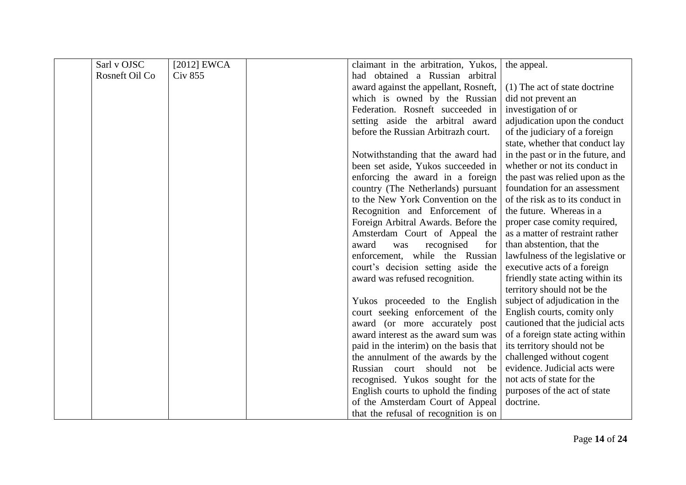| Sarl v OJSC    | [ $2012$ ] EWCA | claimant in the arbitration, Yukos,    | the appeal.                       |
|----------------|-----------------|----------------------------------------|-----------------------------------|
| Rosneft Oil Co | <b>Civ 855</b>  | had obtained a Russian arbitral        |                                   |
|                |                 | award against the appellant, Rosneft,  | (1) The act of state doctrine     |
|                |                 | which is owned by the Russian          | did not prevent an                |
|                |                 | Federation. Rosneft succeeded in       | investigation of or               |
|                |                 | setting aside the arbitral award       | adjudication upon the conduct     |
|                |                 | before the Russian Arbitrazh court.    | of the judiciary of a foreign     |
|                |                 |                                        | state, whether that conduct lay   |
|                |                 | Notwithstanding that the award had     | in the past or in the future, and |
|                |                 | been set aside, Yukos succeeded in     | whether or not its conduct in     |
|                |                 | enforcing the award in a foreign       | the past was relied upon as the   |
|                |                 | country (The Netherlands) pursuant     | foundation for an assessment      |
|                |                 | to the New York Convention on the      | of the risk as to its conduct in  |
|                |                 | Recognition and Enforcement of         | the future. Whereas in a          |
|                |                 | Foreign Arbitral Awards. Before the    | proper case comity required,      |
|                |                 | Amsterdam Court of Appeal the          | as a matter of restraint rather   |
|                |                 | award<br>recognised<br>for<br>was      | than abstention, that the         |
|                |                 | enforcement, while the Russian         | lawfulness of the legislative or  |
|                |                 | court's decision setting aside the     | executive acts of a foreign       |
|                |                 | award was refused recognition.         | friendly state acting within its  |
|                |                 |                                        | territory should not be the       |
|                |                 | Yukos proceeded to the English         | subject of adjudication in the    |
|                |                 | court seeking enforcement of the       | English courts, comity only       |
|                |                 | award (or more accurately post         | cautioned that the judicial acts  |
|                |                 | award interest as the award sum was    | of a foreign state acting within  |
|                |                 | paid in the interim) on the basis that | its territory should not be       |
|                |                 | the annulment of the awards by the     | challenged without cogent         |
|                |                 | Russian<br>should<br>not be<br>court   | evidence. Judicial acts were      |
|                |                 | recognised. Yukos sought for the       | not acts of state for the         |
|                |                 | English courts to uphold the finding   | purposes of the act of state      |
|                |                 | of the Amsterdam Court of Appeal       | doctrine.                         |
|                |                 | that the refusal of recognition is on  |                                   |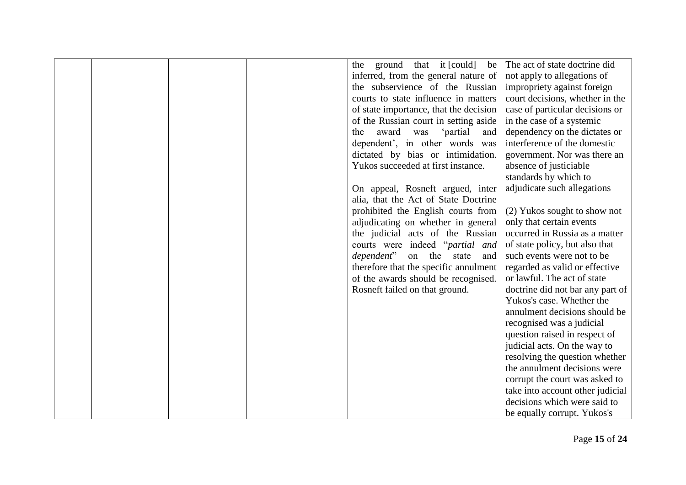|  | the ground that it [could] be          | The act of state doctrine did    |
|--|----------------------------------------|----------------------------------|
|  | inferred, from the general nature of   | not apply to allegations of      |
|  | the subservience of the Russian        | impropriety against foreign      |
|  | courts to state influence in matters   | court decisions, whether in the  |
|  | of state importance, that the decision | case of particular decisions or  |
|  | of the Russian court in setting aside  | in the case of a systemic        |
|  | award<br>'partial<br>the<br>was<br>and | dependency on the dictates or    |
|  | dependent', in other words was         | interference of the domestic     |
|  | dictated by bias or intimidation.      | government. Nor was there an     |
|  | Yukos succeeded at first instance.     | absence of justiciable           |
|  |                                        | standards by which to            |
|  | On appeal, Rosneft argued, inter       | adjudicate such allegations      |
|  | alia, that the Act of State Doctrine   |                                  |
|  | prohibited the English courts from     | (2) Yukos sought to show not     |
|  | adjudicating on whether in general     | only that certain events         |
|  | the judicial acts of the Russian       | occurred in Russia as a matter   |
|  | courts were indeed "partial and        | of state policy, but also that   |
|  | <i>dependent</i> " on the state<br>and | such events were not to be       |
|  | therefore that the specific annulment  | regarded as valid or effective   |
|  | of the awards should be recognised.    | or lawful. The act of state      |
|  | Rosneft failed on that ground.         | doctrine did not bar any part of |
|  |                                        | Yukos's case. Whether the        |
|  |                                        | annulment decisions should be    |
|  |                                        | recognised was a judicial        |
|  |                                        | question raised in respect of    |
|  |                                        | judicial acts. On the way to     |
|  |                                        | resolving the question whether   |
|  |                                        | the annulment decisions were     |
|  |                                        | corrupt the court was asked to   |
|  |                                        | take into account other judicial |
|  |                                        | decisions which were said to     |
|  |                                        | be equally corrupt. Yukos's      |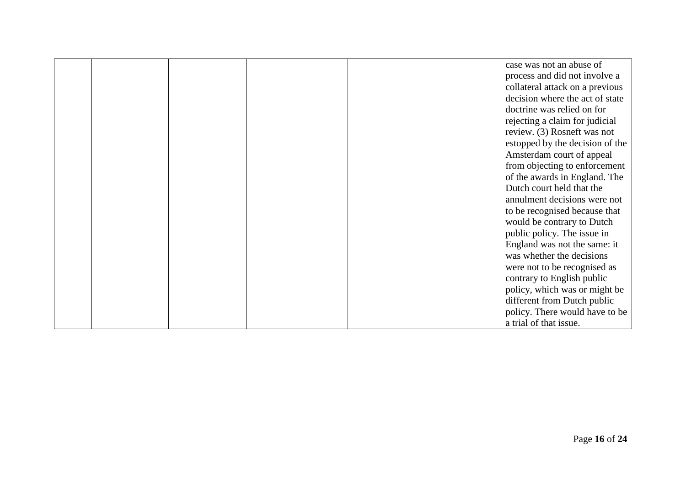|  |  | case was not an abuse of        |
|--|--|---------------------------------|
|  |  | process and did not involve a   |
|  |  | collateral attack on a previous |
|  |  | decision where the act of state |
|  |  | doctrine was relied on for      |
|  |  | rejecting a claim for judicial  |
|  |  | review. (3) Rosneft was not     |
|  |  | estopped by the decision of the |
|  |  | Amsterdam court of appeal       |
|  |  | from objecting to enforcement   |
|  |  | of the awards in England. The   |
|  |  | Dutch court held that the       |
|  |  | annulment decisions were not    |
|  |  | to be recognised because that   |
|  |  | would be contrary to Dutch      |
|  |  | public policy. The issue in     |
|  |  | England was not the same: it    |
|  |  | was whether the decisions       |
|  |  | were not to be recognised as    |
|  |  | contrary to English public      |
|  |  | policy, which was or might be   |
|  |  | different from Dutch public     |
|  |  | policy. There would have to be  |
|  |  | a trial of that issue.          |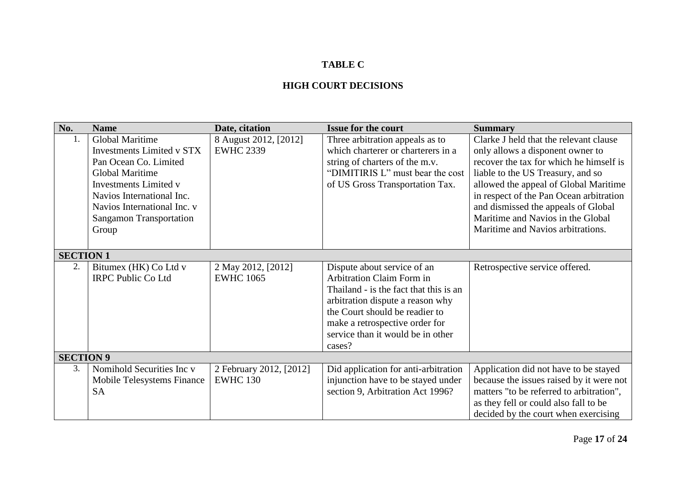## **TABLE C**

#### **HIGH COURT DECISIONS**

| No.              | <b>Name</b>                      | Date, citation          | <b>Issue for the court</b>             | <b>Summary</b>                           |
|------------------|----------------------------------|-------------------------|----------------------------------------|------------------------------------------|
| 1.               | <b>Global Maritime</b>           | 8 August 2012, [2012]   | Three arbitration appeals as to        | Clarke J held that the relevant clause   |
|                  | <b>Investments Limited v STX</b> | <b>EWHC 2339</b>        | which charterer or charterers in a     | only allows a disponent owner to         |
|                  | Pan Ocean Co. Limited            |                         | string of charters of the m.v.         | recover the tax for which he himself is  |
|                  | <b>Global Maritime</b>           |                         | "DIMITIRIS L" must bear the cost       | liable to the US Treasury, and so        |
|                  | <b>Investments Limited v</b>     |                         | of US Gross Transportation Tax.        | allowed the appeal of Global Maritime    |
|                  | Navios International Inc.        |                         |                                        | in respect of the Pan Ocean arbitration  |
|                  | Navios International Inc. v      |                         |                                        | and dismissed the appeals of Global      |
|                  | <b>Sangamon Transportation</b>   |                         |                                        | Maritime and Navios in the Global        |
|                  | Group                            |                         |                                        | Maritime and Navios arbitrations.        |
|                  |                                  |                         |                                        |                                          |
| <b>SECTION 1</b> |                                  |                         |                                        |                                          |
| 2.               | Bitumex (HK) Co Ltd v            | 2 May 2012, [2012]      | Dispute about service of an            | Retrospective service offered.           |
|                  | <b>IRPC Public Co Ltd</b>        | <b>EWHC 1065</b>        | <b>Arbitration Claim Form in</b>       |                                          |
|                  |                                  |                         | Thailand - is the fact that this is an |                                          |
|                  |                                  |                         | arbitration dispute a reason why       |                                          |
|                  |                                  |                         | the Court should be readier to         |                                          |
|                  |                                  |                         | make a retrospective order for         |                                          |
|                  |                                  |                         | service than it would be in other      |                                          |
|                  |                                  |                         | cases?                                 |                                          |
| <b>SECTION 9</b> |                                  |                         |                                        |                                          |
| 3.               | Nomihold Securities Inc v        | 2 February 2012, [2012] | Did application for anti-arbitration   | Application did not have to be stayed    |
|                  | Mobile Telesystems Finance       | <b>EWHC 130</b>         | injunction have to be stayed under     | because the issues raised by it were not |
|                  | <b>SA</b>                        |                         | section 9, Arbitration Act 1996?       | matters "to be referred to arbitration", |
|                  |                                  |                         |                                        | as they fell or could also fall to be    |
|                  |                                  |                         |                                        | decided by the court when exercising     |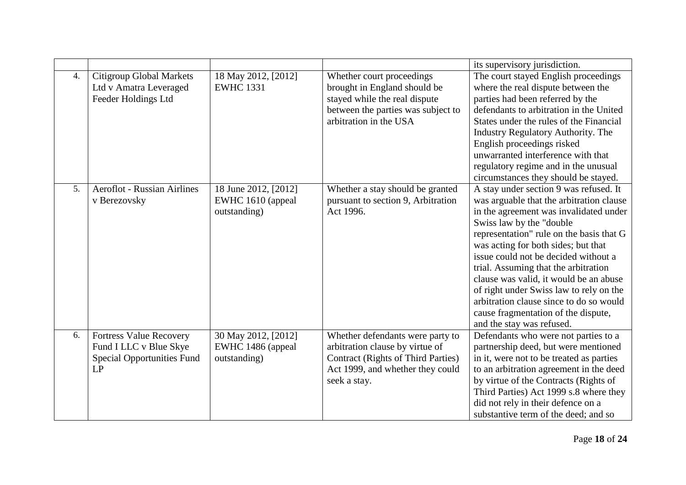|                  |                                                                                                     |                                                           |                                                                                                                                                                      | its supervisory jurisdiction.                                                                                                                                                                                                                                                                                                                                                                                                                                                                                                   |
|------------------|-----------------------------------------------------------------------------------------------------|-----------------------------------------------------------|----------------------------------------------------------------------------------------------------------------------------------------------------------------------|---------------------------------------------------------------------------------------------------------------------------------------------------------------------------------------------------------------------------------------------------------------------------------------------------------------------------------------------------------------------------------------------------------------------------------------------------------------------------------------------------------------------------------|
| $\overline{4}$ . | <b>Citigroup Global Markets</b><br>Ltd v Amatra Leveraged<br>Feeder Holdings Ltd                    | 18 May 2012, [2012]<br><b>EWHC 1331</b>                   | Whether court proceedings<br>brought in England should be<br>stayed while the real dispute<br>between the parties was subject to<br>arbitration in the USA           | The court stayed English proceedings<br>where the real dispute between the<br>parties had been referred by the<br>defendants to arbitration in the United<br>States under the rules of the Financial<br><b>Industry Regulatory Authority. The</b><br>English proceedings risked<br>unwarranted interference with that<br>regulatory regime and in the unusual<br>circumstances they should be stayed.                                                                                                                           |
| 5 <sub>1</sub>   | <b>Aeroflot - Russian Airlines</b><br>v Berezovsky                                                  | 18 June 2012, [2012]<br>EWHC 1610 (appeal<br>outstanding) | Whether a stay should be granted<br>pursuant to section 9, Arbitration<br>Act 1996.                                                                                  | A stay under section 9 was refused. It<br>was arguable that the arbitration clause<br>in the agreement was invalidated under<br>Swiss law by the "double<br>representation" rule on the basis that G<br>was acting for both sides; but that<br>issue could not be decided without a<br>trial. Assuming that the arbitration<br>clause was valid, it would be an abuse<br>of right under Swiss law to rely on the<br>arbitration clause since to do so would<br>cause fragmentation of the dispute,<br>and the stay was refused. |
| 6.               | <b>Fortress Value Recovery</b><br>Fund I LLC v Blue Skye<br><b>Special Opportunities Fund</b><br>LP | 30 May 2012, [2012]<br>EWHC 1486 (appeal<br>outstanding)  | Whether defendants were party to<br>arbitration clause by virtue of<br><b>Contract (Rights of Third Parties)</b><br>Act 1999, and whether they could<br>seek a stay. | Defendants who were not parties to a<br>partnership deed, but were mentioned<br>in it, were not to be treated as parties<br>to an arbitration agreement in the deed<br>by virtue of the Contracts (Rights of<br>Third Parties) Act 1999 s.8 where they<br>did not rely in their defence on a<br>substantive term of the deed; and so                                                                                                                                                                                            |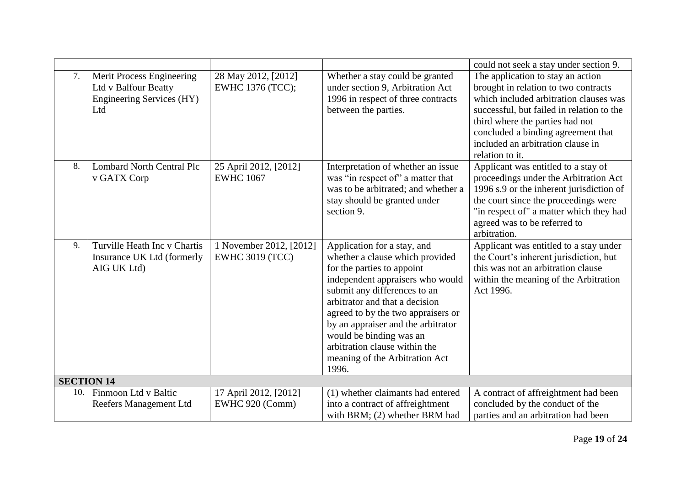|                   |                                                                                              |                                                   |                                                                                                                                                                                                                                                                                                                                                                                       | could not seek a stay under section 9.                                                                                                                                                                                                                                                            |
|-------------------|----------------------------------------------------------------------------------------------|---------------------------------------------------|---------------------------------------------------------------------------------------------------------------------------------------------------------------------------------------------------------------------------------------------------------------------------------------------------------------------------------------------------------------------------------------|---------------------------------------------------------------------------------------------------------------------------------------------------------------------------------------------------------------------------------------------------------------------------------------------------|
| 7.                | Merit Process Engineering<br>Ltd v Balfour Beatty<br><b>Engineering Services (HY)</b><br>Ltd | 28 May 2012, [2012]<br>EWHC 1376 (TCC);           | Whether a stay could be granted<br>under section 9, Arbitration Act<br>1996 in respect of three contracts<br>between the parties.                                                                                                                                                                                                                                                     | The application to stay an action<br>brought in relation to two contracts<br>which included arbitration clauses was<br>successful, but failed in relation to the<br>third where the parties had not<br>concluded a binding agreement that<br>included an arbitration clause in<br>relation to it. |
| 8.                | <b>Lombard North Central Plc</b><br>v GATX Corp                                              | 25 April 2012, [2012]<br><b>EWHC 1067</b>         | Interpretation of whether an issue<br>was "in respect of" a matter that<br>was to be arbitrated; and whether a<br>stay should be granted under<br>section 9.                                                                                                                                                                                                                          | Applicant was entitled to a stay of<br>proceedings under the Arbitration Act<br>1996 s.9 or the inherent jurisdiction of<br>the court since the proceedings were<br>"in respect of" a matter which they had<br>agreed was to be referred to<br>arbitration.                                       |
| 9.                | Turville Heath Inc y Chartis<br>Insurance UK Ltd (formerly<br>AIG UK Ltd)                    | 1 November 2012, [2012]<br><b>EWHC 3019 (TCC)</b> | Application for a stay, and<br>whether a clause which provided<br>for the parties to appoint<br>independent appraisers who would<br>submit any differences to an<br>arbitrator and that a decision<br>agreed to by the two appraisers or<br>by an appraiser and the arbitrator<br>would be binding was an<br>arbitration clause within the<br>meaning of the Arbitration Act<br>1996. | Applicant was entitled to a stay under<br>the Court's inherent jurisdiction, but<br>this was not an arbitration clause<br>within the meaning of the Arbitration<br>Act 1996.                                                                                                                      |
| <b>SECTION 14</b> |                                                                                              |                                                   |                                                                                                                                                                                                                                                                                                                                                                                       |                                                                                                                                                                                                                                                                                                   |
| 10.               | Finmoon Ltd v Baltic<br>Reefers Management Ltd                                               | 17 April 2012, [2012]<br>EWHC 920 (Comm)          | (1) whether claimants had entered<br>into a contract of affreightment<br>with BRM; (2) whether BRM had                                                                                                                                                                                                                                                                                | A contract of affreightment had been<br>concluded by the conduct of the<br>parties and an arbitration had been                                                                                                                                                                                    |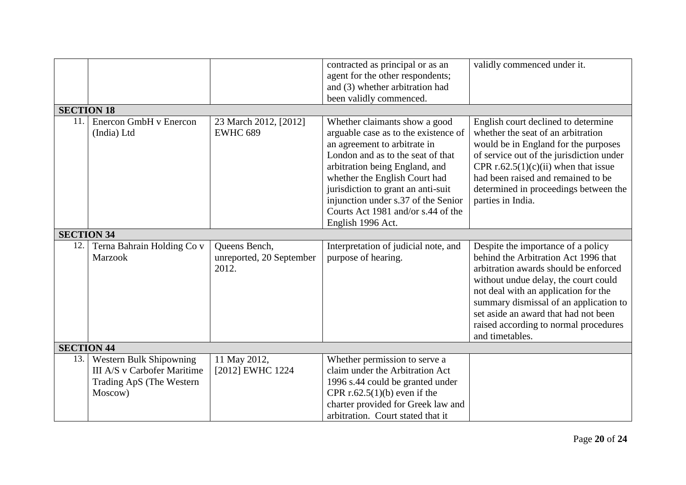|                   |                                                                                                      |                                                    | contracted as principal or as an<br>agent for the other respondents;<br>and (3) whether arbitration had                                                                                                                                                                                                                                               | validly commenced under it.                                                                                                                                                                                                                                                                                                                       |
|-------------------|------------------------------------------------------------------------------------------------------|----------------------------------------------------|-------------------------------------------------------------------------------------------------------------------------------------------------------------------------------------------------------------------------------------------------------------------------------------------------------------------------------------------------------|---------------------------------------------------------------------------------------------------------------------------------------------------------------------------------------------------------------------------------------------------------------------------------------------------------------------------------------------------|
|                   |                                                                                                      |                                                    | been validly commenced.                                                                                                                                                                                                                                                                                                                               |                                                                                                                                                                                                                                                                                                                                                   |
| <b>SECTION 18</b> |                                                                                                      |                                                    |                                                                                                                                                                                                                                                                                                                                                       |                                                                                                                                                                                                                                                                                                                                                   |
| 11.               | Enercon GmbH v Enercon<br>(India) Ltd                                                                | 23 March 2012, [2012]<br><b>EWHC 689</b>           | Whether claimants show a good<br>arguable case as to the existence of<br>an agreement to arbitrate in<br>London and as to the seat of that<br>arbitration being England, and<br>whether the English Court had<br>jurisdiction to grant an anti-suit<br>injunction under s.37 of the Senior<br>Courts Act 1981 and/or s.44 of the<br>English 1996 Act. | English court declined to determine<br>whether the seat of an arbitration<br>would be in England for the purposes<br>of service out of the jurisdiction under<br>CPR r.62.5(1)(c)(ii) when that issue<br>had been raised and remained to be<br>determined in proceedings between the<br>parties in India.                                         |
| <b>SECTION 34</b> |                                                                                                      |                                                    |                                                                                                                                                                                                                                                                                                                                                       |                                                                                                                                                                                                                                                                                                                                                   |
| 12.               | Terna Bahrain Holding Co v<br><b>Marzook</b>                                                         | Queens Bench,<br>unreported, 20 September<br>2012. | Interpretation of judicial note, and<br>purpose of hearing.                                                                                                                                                                                                                                                                                           | Despite the importance of a policy<br>behind the Arbitration Act 1996 that<br>arbitration awards should be enforced<br>without undue delay, the court could<br>not deal with an application for the<br>summary dismissal of an application to<br>set aside an award that had not been<br>raised according to normal procedures<br>and timetables. |
| <b>SECTION 44</b> |                                                                                                      |                                                    |                                                                                                                                                                                                                                                                                                                                                       |                                                                                                                                                                                                                                                                                                                                                   |
| 13.               | <b>Western Bulk Shipowning</b><br>III A/S v Carbofer Maritime<br>Trading ApS (The Western<br>Moscow) | 11 May 2012,<br>[2012] EWHC 1224                   | Whether permission to serve a<br>claim under the Arbitration Act<br>1996 s.44 could be granted under<br>CPR $r.62.5(1)(b)$ even if the<br>charter provided for Greek law and<br>arbitration. Court stated that it                                                                                                                                     |                                                                                                                                                                                                                                                                                                                                                   |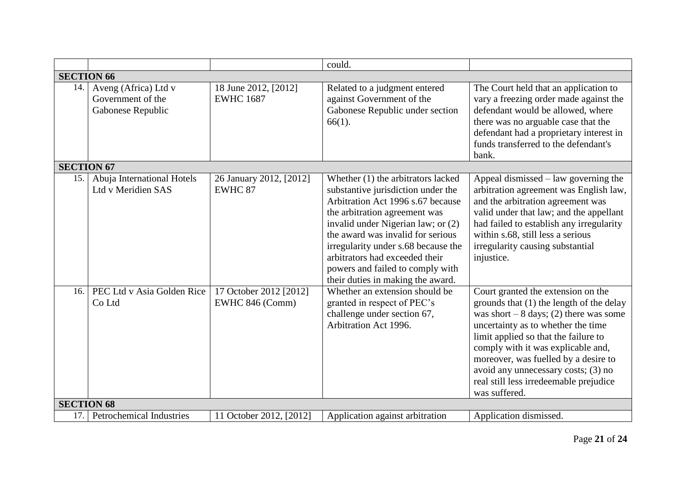|                   |                                                                |                                           | could.                                                                                                                                                                                                                                                                                                                                                                      |                                                                                                                                                                                                                                                                                                                                                                                         |
|-------------------|----------------------------------------------------------------|-------------------------------------------|-----------------------------------------------------------------------------------------------------------------------------------------------------------------------------------------------------------------------------------------------------------------------------------------------------------------------------------------------------------------------------|-----------------------------------------------------------------------------------------------------------------------------------------------------------------------------------------------------------------------------------------------------------------------------------------------------------------------------------------------------------------------------------------|
| <b>SECTION 66</b> |                                                                |                                           |                                                                                                                                                                                                                                                                                                                                                                             |                                                                                                                                                                                                                                                                                                                                                                                         |
| 14.               | Aveng (Africa) Ltd v<br>Government of the<br>Gabonese Republic | 18 June 2012, [2012]<br><b>EWHC 1687</b>  | Related to a judgment entered<br>against Government of the<br>Gabonese Republic under section<br>$66(1)$ .                                                                                                                                                                                                                                                                  | The Court held that an application to<br>vary a freezing order made against the<br>defendant would be allowed, where<br>there was no arguable case that the<br>defendant had a proprietary interest in<br>funds transferred to the defendant's<br>bank.                                                                                                                                 |
| <b>SECTION 67</b> |                                                                |                                           |                                                                                                                                                                                                                                                                                                                                                                             |                                                                                                                                                                                                                                                                                                                                                                                         |
| 15.               | Abuja International Hotels<br>Ltd v Meridien SAS               | 26 January 2012, [2012]<br>EWHC 87        | Whether (1) the arbitrators lacked<br>substantive jurisdiction under the<br>Arbitration Act 1996 s.67 because<br>the arbitration agreement was<br>invalid under Nigerian law; or (2)<br>the award was invalid for serious<br>irregularity under s.68 because the<br>arbitrators had exceeded their<br>powers and failed to comply with<br>their duties in making the award. | Appeal dismissed – law governing the<br>arbitration agreement was English law,<br>and the arbitration agreement was<br>valid under that law; and the appellant<br>had failed to establish any irregularity<br>within s.68, still less a serious<br>irregularity causing substantial<br>injustice.                                                                                       |
| 16.               | PEC Ltd v Asia Golden Rice<br>Co Ltd                           | 17 October 2012 [2012]<br>EWHC 846 (Comm) | Whether an extension should be<br>granted in respect of PEC's<br>challenge under section 67,<br>Arbitration Act 1996.                                                                                                                                                                                                                                                       | Court granted the extension on the<br>grounds that (1) the length of the delay<br>was short $-8$ days; (2) there was some<br>uncertainty as to whether the time<br>limit applied so that the failure to<br>comply with it was explicable and,<br>moreover, was fuelled by a desire to<br>avoid any unnecessary costs; (3) no<br>real still less irredeemable prejudice<br>was suffered. |
| <b>SECTION 68</b> |                                                                |                                           |                                                                                                                                                                                                                                                                                                                                                                             |                                                                                                                                                                                                                                                                                                                                                                                         |
| 17.               | <b>Petrochemical Industries</b>                                | 11 October 2012, [2012]                   | Application against arbitration                                                                                                                                                                                                                                                                                                                                             | Application dismissed.                                                                                                                                                                                                                                                                                                                                                                  |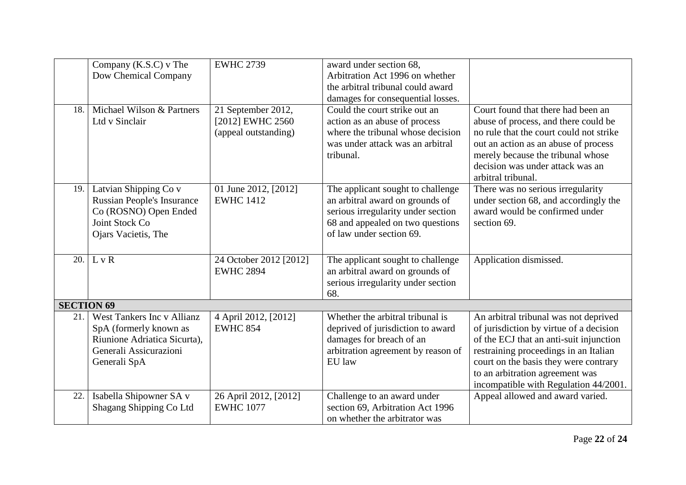|                   | Company (K.S.C) v The             | <b>EWHC 2739</b>       | award under section 68,            |                                         |
|-------------------|-----------------------------------|------------------------|------------------------------------|-----------------------------------------|
|                   | Dow Chemical Company              |                        | Arbitration Act 1996 on whether    |                                         |
|                   |                                   |                        | the arbitral tribunal could award  |                                         |
|                   |                                   |                        | damages for consequential losses.  |                                         |
| 18.               | Michael Wilson & Partners         | 21 September 2012,     | Could the court strike out an      | Court found that there had been an      |
|                   | Ltd v Sinclair                    | [2012] EWHC 2560       | action as an abuse of process      | abuse of process, and there could be    |
|                   |                                   | (appeal outstanding)   | where the tribunal whose decision  | no rule that the court could not strike |
|                   |                                   |                        | was under attack was an arbitral   | out an action as an abuse of process    |
|                   |                                   |                        | tribunal.                          | merely because the tribunal whose       |
|                   |                                   |                        |                                    | decision was under attack was an        |
|                   |                                   |                        |                                    | arbitral tribunal.                      |
| 19.               | Latvian Shipping Co v             | 01 June 2012, [2012]   | The applicant sought to challenge  | There was no serious irregularity       |
|                   | <b>Russian People's Insurance</b> | <b>EWHC 1412</b>       | an arbitral award on grounds of    | under section 68, and accordingly the   |
|                   | Co (ROSNO) Open Ended             |                        | serious irregularity under section | award would be confirmed under          |
|                   | Joint Stock Co                    |                        | 68 and appealed on two questions   | section 69.                             |
|                   | Ojars Vacietis, The               |                        | of law under section 69.           |                                         |
|                   |                                   |                        |                                    |                                         |
| 20.               | L v R                             | 24 October 2012 [2012] | The applicant sought to challenge  | Application dismissed.                  |
|                   |                                   | <b>EWHC 2894</b>       | an arbitral award on grounds of    |                                         |
|                   |                                   |                        | serious irregularity under section |                                         |
|                   |                                   |                        | 68.                                |                                         |
| <b>SECTION 69</b> |                                   |                        |                                    |                                         |
| 21.1              | West Tankers Inc v Allianz        | 4 April 2012, [2012]   | Whether the arbitral tribunal is   | An arbitral tribunal was not deprived   |
|                   | SpA (formerly known as            | <b>EWHC 854</b>        | deprived of jurisdiction to award  | of jurisdiction by virtue of a decision |
|                   | Riunione Adriatica Sicurta),      |                        | damages for breach of an           | of the ECJ that an anti-suit injunction |
|                   | Generali Assicurazioni            |                        | arbitration agreement by reason of | restraining proceedings in an Italian   |
|                   | Generali SpA                      |                        | EU law                             | court on the basis they were contrary   |
|                   |                                   |                        |                                    | to an arbitration agreement was         |
|                   |                                   |                        |                                    | incompatible with Regulation 44/2001.   |
| 22.               | Isabella Shipowner SA v           | 26 April 2012, [2012]  | Challenge to an award under        | Appeal allowed and award varied.        |
|                   | Shagang Shipping Co Ltd           | <b>EWHC 1077</b>       | section 69, Arbitration Act 1996   |                                         |
|                   |                                   |                        | on whether the arbitrator was      |                                         |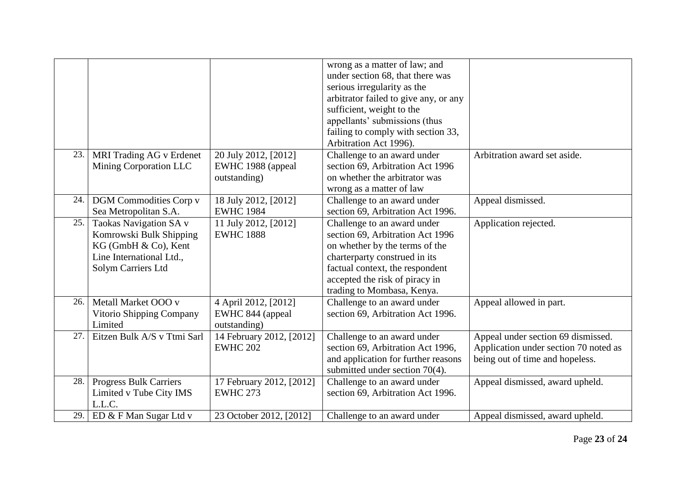|     |                               |                          | wrong as a matter of law; and         |                                       |
|-----|-------------------------------|--------------------------|---------------------------------------|---------------------------------------|
|     |                               |                          | under section 68, that there was      |                                       |
|     |                               |                          | serious irregularity as the           |                                       |
|     |                               |                          | arbitrator failed to give any, or any |                                       |
|     |                               |                          | sufficient, weight to the             |                                       |
|     |                               |                          | appellants' submissions (thus         |                                       |
|     |                               |                          | failing to comply with section 33,    |                                       |
|     |                               |                          | Arbitration Act 1996).                |                                       |
| 23. | MRI Trading AG v Erdenet      | 20 July 2012, [2012]     | Challenge to an award under           | Arbitration award set aside.          |
|     | Mining Corporation LLC        | EWHC 1988 (appeal        | section 69, Arbitration Act 1996      |                                       |
|     |                               | outstanding)             | on whether the arbitrator was         |                                       |
|     |                               |                          | wrong as a matter of law              |                                       |
| 24. | <b>DGM</b> Commodities Corp v | 18 July 2012, [2012]     | Challenge to an award under           | Appeal dismissed.                     |
|     | Sea Metropolitan S.A.         | <b>EWHC 1984</b>         | section 69, Arbitration Act 1996.     |                                       |
| 25. | Taokas Navigation SA v        | 11 July 2012, [2012]     | Challenge to an award under           | Application rejected.                 |
|     | Komrowski Bulk Shipping       | <b>EWHC 1888</b>         | section 69, Arbitration Act 1996      |                                       |
|     | KG (GmbH & Co), Kent          |                          | on whether by the terms of the        |                                       |
|     | Line International Ltd.,      |                          | charterparty construed in its         |                                       |
|     |                               |                          | factual context, the respondent       |                                       |
|     | Solym Carriers Ltd            |                          |                                       |                                       |
|     |                               |                          | accepted the risk of piracy in        |                                       |
|     |                               |                          | trading to Mombasa, Kenya.            |                                       |
| 26. | Metall Market OOO v           | 4 April 2012, [2012]     | Challenge to an award under           | Appeal allowed in part.               |
|     | Vitorio Shipping Company      | EWHC 844 (appeal         | section 69, Arbitration Act 1996.     |                                       |
|     | Limited                       | outstanding)             |                                       |                                       |
| 27. | Eitzen Bulk A/S v Ttmi Sarl   | 14 February 2012, [2012] | Challenge to an award under           | Appeal under section 69 dismissed.    |
|     |                               | <b>EWHC 202</b>          | section 69, Arbitration Act 1996,     | Application under section 70 noted as |
|     |                               |                          | and application for further reasons   | being out of time and hopeless.       |
|     |                               |                          | submitted under section 70(4).        |                                       |
| 28. | <b>Progress Bulk Carriers</b> | 17 February 2012, [2012] | Challenge to an award under           | Appeal dismissed, award upheld.       |
|     | Limited v Tube City IMS       | <b>EWHC 273</b>          | section 69, Arbitration Act 1996.     |                                       |
|     | L.L.C.                        |                          |                                       |                                       |
| 29. | ED & F Man Sugar Ltd v        | 23 October 2012, [2012]  | Challenge to an award under           | Appeal dismissed, award upheld.       |